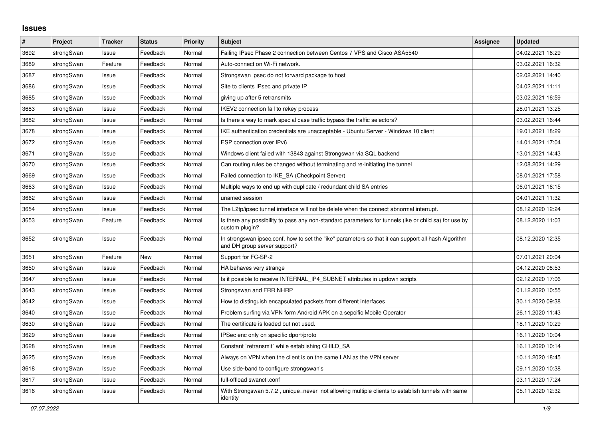## **Issues**

| #    | Project    | <b>Tracker</b> | <b>Status</b> | <b>Priority</b> | <b>Subject</b>                                                                                                                      | <b>Assignee</b> | <b>Updated</b>   |
|------|------------|----------------|---------------|-----------------|-------------------------------------------------------------------------------------------------------------------------------------|-----------------|------------------|
| 3692 | strongSwan | Issue          | Feedback      | Normal          | Failing IPsec Phase 2 connection between Centos 7 VPS and Cisco ASA5540                                                             |                 | 04.02.2021 16:29 |
| 3689 | strongSwan | Feature        | Feedback      | Normal          | Auto-connect on Wi-Fi network.                                                                                                      |                 | 03.02.2021 16:32 |
| 3687 | strongSwan | Issue          | Feedback      | Normal          | Strongswan ipsec do not forward package to host                                                                                     |                 | 02.02.2021 14:40 |
| 3686 | strongSwan | Issue          | Feedback      | Normal          | Site to clients IPsec and private IP                                                                                                |                 | 04.02.2021 11:11 |
| 3685 | strongSwan | Issue          | Feedback      | Normal          | giving up after 5 retransmits                                                                                                       |                 | 03.02.2021 16:59 |
| 3683 | strongSwan | Issue          | Feedback      | Normal          | IKEV2 connection fail to rekey process                                                                                              |                 | 28.01.2021 13:25 |
| 3682 | strongSwan | Issue          | Feedback      | Normal          | Is there a way to mark special case traffic bypass the traffic selectors?                                                           |                 | 03.02.2021 16:44 |
| 3678 | strongSwan | Issue          | Feedback      | Normal          | IKE authentication credentials are unacceptable - Ubuntu Server - Windows 10 client                                                 |                 | 19.01.2021 18:29 |
| 3672 | strongSwan | Issue          | Feedback      | Normal          | ESP connection over IPv6                                                                                                            |                 | 14.01.2021 17:04 |
| 3671 | strongSwan | Issue          | Feedback      | Normal          | Windows client failed with 13843 against Strongswan via SQL backend                                                                 |                 | 13.01.2021 14:43 |
| 3670 | strongSwan | Issue          | Feedback      | Normal          | Can routing rules be changed without terminating and re-initiating the tunnel                                                       |                 | 12.08.2021 14:29 |
| 3669 | strongSwan | Issue          | Feedback      | Normal          | Failed connection to IKE_SA (Checkpoint Server)                                                                                     |                 | 08.01.2021 17:58 |
| 3663 | strongSwan | Issue          | Feedback      | Normal          | Multiple ways to end up with duplicate / redundant child SA entries                                                                 |                 | 06.01.2021 16:15 |
| 3662 | strongSwan | Issue          | Feedback      | Normal          | unamed session                                                                                                                      |                 | 04.01.2021 11:32 |
| 3654 | strongSwan | Issue          | Feedback      | Normal          | The L2tp/ipsec tunnel interface will not be delete when the connect abnormal interrupt.                                             |                 | 08.12.2020 12:24 |
| 3653 | strongSwan | Feature        | Feedback      | Normal          | Is there any possibility to pass any non-standard parameters for tunnels (ike or child sa) for use by<br>custom plugin?             |                 | 08.12.2020 11:03 |
| 3652 | strongSwan | Issue          | Feedback      | Normal          | In strongswan ipsec.conf, how to set the "ike" parameters so that it can support all hash Algorithm<br>and DH group server support? |                 | 08.12.2020 12:35 |
| 3651 | strongSwan | Feature        | New           | Normal          | Support for FC-SP-2                                                                                                                 |                 | 07.01.2021 20:04 |
| 3650 | strongSwan | Issue          | Feedback      | Normal          | HA behaves very strange                                                                                                             |                 | 04.12.2020 08:53 |
| 3647 | strongSwan | Issue          | Feedback      | Normal          | Is it possible to receive INTERNAL IP4 SUBNET attributes in updown scripts                                                          |                 | 02.12.2020 17:06 |
| 3643 | strongSwan | Issue          | Feedback      | Normal          | Strongswan and FRR NHRP                                                                                                             |                 | 01.12.2020 10:55 |
| 3642 | strongSwan | Issue          | Feedback      | Normal          | How to distinguish encapsulated packets from different interfaces                                                                   |                 | 30.11.2020 09:38 |
| 3640 | strongSwan | Issue          | Feedback      | Normal          | Problem surfing via VPN form Android APK on a sepcific Mobile Operator                                                              |                 | 26.11.2020 11:43 |
| 3630 | strongSwan | Issue          | Feedback      | Normal          | The certificate is loaded but not used.                                                                                             |                 | 18.11.2020 10:29 |
| 3629 | strongSwan | Issue          | Feedback      | Normal          | IPSec enc only on specific dport/proto                                                                                              |                 | 16.11.2020 10:04 |
| 3628 | strongSwan | Issue          | Feedback      | Normal          | Constant `retransmit` while establishing CHILD_SA                                                                                   |                 | 16.11.2020 10:14 |
| 3625 | strongSwan | Issue          | Feedback      | Normal          | Always on VPN when the client is on the same LAN as the VPN server                                                                  |                 | 10.11.2020 18:45 |
| 3618 | strongSwan | Issue          | Feedback      | Normal          | Use side-band to configure strongswan's                                                                                             |                 | 09.11.2020 10:38 |
| 3617 | strongSwan | Issue          | Feedback      | Normal          | full-offload swanctl.conf                                                                                                           |                 | 03.11.2020 17:24 |
| 3616 | strongSwan | Issue          | Feedback      | Normal          | With Strongswan 5.7.2, unique=never not allowing multiple clients to establish tunnels with same<br>identity                        |                 | 05.11.2020 12:32 |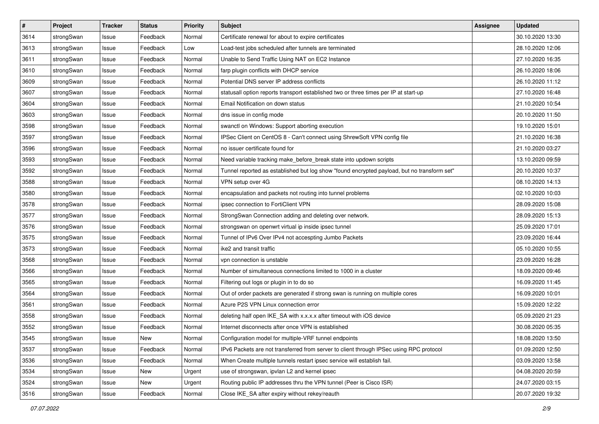| $\pmb{\#}$ | Project    | <b>Tracker</b> | <b>Status</b> | <b>Priority</b> | <b>Subject</b>                                                                              | Assignee | <b>Updated</b>   |
|------------|------------|----------------|---------------|-----------------|---------------------------------------------------------------------------------------------|----------|------------------|
| 3614       | strongSwan | Issue          | Feedback      | Normal          | Certificate renewal for about to expire certificates                                        |          | 30.10.2020 13:30 |
| 3613       | strongSwan | Issue          | Feedback      | Low             | Load-test jobs scheduled after tunnels are terminated                                       |          | 28.10.2020 12:06 |
| 3611       | strongSwan | Issue          | Feedback      | Normal          | Unable to Send Traffic Using NAT on EC2 Instance                                            |          | 27.10.2020 16:35 |
| 3610       | strongSwan | Issue          | Feedback      | Normal          | farp plugin conflicts with DHCP service                                                     |          | 26.10.2020 18:06 |
| 3609       | strongSwan | Issue          | Feedback      | Normal          | Potential DNS server IP address conflicts                                                   |          | 26.10.2020 11:12 |
| 3607       | strongSwan | Issue          | Feedback      | Normal          | statusall option reports transport established two or three times per IP at start-up        |          | 27.10.2020 16:48 |
| 3604       | strongSwan | Issue          | Feedback      | Normal          | Email Notification on down status                                                           |          | 21.10.2020 10:54 |
| 3603       | strongSwan | Issue          | Feedback      | Normal          | dns issue in config mode                                                                    |          | 20.10.2020 11:50 |
| 3598       | strongSwan | Issue          | Feedback      | Normal          | swanctl on Windows: Support aborting execution                                              |          | 19.10.2020 15:01 |
| 3597       | strongSwan | Issue          | Feedback      | Normal          | IPSec Client on CentOS 8 - Can't connect using ShrewSoft VPN config file                    |          | 21.10.2020 16:38 |
| 3596       | strongSwan | Issue          | Feedback      | Normal          | no issuer certificate found for                                                             |          | 21.10.2020 03:27 |
| 3593       | strongSwan | Issue          | Feedback      | Normal          | Need variable tracking make_before_break state into updown scripts                          |          | 13.10.2020 09:59 |
| 3592       | strongSwan | Issue          | Feedback      | Normal          | Tunnel reported as established but log show "found encrypted payload, but no transform set" |          | 20.10.2020 10:37 |
| 3588       | strongSwan | lssue          | Feedback      | Normal          | VPN setup over 4G                                                                           |          | 08.10.2020 14:13 |
| 3580       | strongSwan | Issue          | Feedback      | Normal          | encapsulation and packets not routing into tunnel problems                                  |          | 02.10.2020 10:03 |
| 3578       | strongSwan | Issue          | Feedback      | Normal          | ipsec connection to FortiClient VPN                                                         |          | 28.09.2020 15:08 |
| 3577       | strongSwan | Issue          | Feedback      | Normal          | StrongSwan Connection adding and deleting over network.                                     |          | 28.09.2020 15:13 |
| 3576       | strongSwan | Issue          | Feedback      | Normal          | strongswan on openwrt virtual ip inside ipsec tunnel                                        |          | 25.09.2020 17:01 |
| 3575       | strongSwan | Issue          | Feedback      | Normal          | Tunnel of IPv6 Over IPv4 not accespting Jumbo Packets                                       |          | 23.09.2020 16:44 |
| 3573       | strongSwan | Issue          | Feedback      | Normal          | ike2 and transit traffic                                                                    |          | 05.10.2020 10:55 |
| 3568       | strongSwan | Issue          | Feedback      | Normal          | vpn connection is unstable                                                                  |          | 23.09.2020 16:28 |
| 3566       | strongSwan | Issue          | Feedback      | Normal          | Number of simultaneous connections limited to 1000 in a cluster                             |          | 18.09.2020 09:46 |
| 3565       | strongSwan | Issue          | Feedback      | Normal          | Filtering out logs or plugin in to do so                                                    |          | 16.09.2020 11:45 |
| 3564       | strongSwan | Issue          | Feedback      | Normal          | Out of order packets are generated if strong swan is running on multiple cores              |          | 16.09.2020 10:01 |
| 3561       | strongSwan | Issue          | Feedback      | Normal          | Azure P2S VPN Linux connection error                                                        |          | 15.09.2020 12:22 |
| 3558       | strongSwan | Issue          | Feedback      | Normal          | deleting half open IKE_SA with x.x.x.x after timeout with iOS device                        |          | 05.09.2020 21:23 |
| 3552       | strongSwan | Issue          | Feedback      | Normal          | Internet disconnects after once VPN is established                                          |          | 30.08.2020 05:35 |
| 3545       | strongSwan | Issue          | New           | Normal          | Configuration model for multiple-VRF tunnel endpoints                                       |          | 18.08.2020 13:50 |
| 3537       | strongSwan | Issue          | Feedback      | Normal          | IPv6 Packets are not transferred from server to client through IPSec using RPC protocol     |          | 01.09.2020 12:50 |
| 3536       | strongSwan | Issue          | Feedback      | Normal          | When Create multiple tunnels restart ipsec service will establish fail.                     |          | 03.09.2020 13:58 |
| 3534       | strongSwan | Issue          | New           | Urgent          | use of strongswan, ipvlan L2 and kernel ipsec                                               |          | 04.08.2020 20:59 |
| 3524       | strongSwan | Issue          | New           | Urgent          | Routing public IP addresses thru the VPN tunnel (Peer is Cisco ISR)                         |          | 24.07.2020 03:15 |
| 3516       | strongSwan | Issue          | Feedback      | Normal          | Close IKE_SA after expiry without rekey/reauth                                              |          | 20.07.2020 19:32 |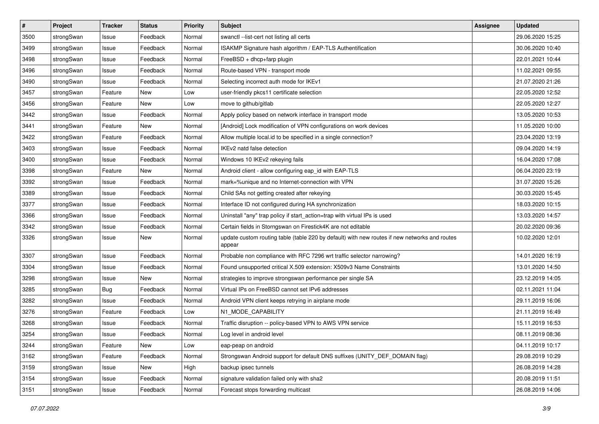| $\pmb{\#}$ | Project    | <b>Tracker</b> | <b>Status</b> | <b>Priority</b> | <b>Subject</b>                                                                                          | <b>Assignee</b> | <b>Updated</b>   |
|------------|------------|----------------|---------------|-----------------|---------------------------------------------------------------------------------------------------------|-----------------|------------------|
| 3500       | strongSwan | Issue          | Feedback      | Normal          | swanctl --list-cert not listing all certs                                                               |                 | 29.06.2020 15:25 |
| 3499       | strongSwan | Issue          | Feedback      | Normal          | ISAKMP Signature hash algorithm / EAP-TLS Authentification                                              |                 | 30.06.2020 10:40 |
| 3498       | strongSwan | Issue          | Feedback      | Normal          | FreeBSD + dhcp+farp plugin                                                                              |                 | 22.01.2021 10:44 |
| 3496       | strongSwan | Issue          | Feedback      | Normal          | Route-based VPN - transport mode                                                                        |                 | 11.02.2021 09:55 |
| 3490       | strongSwan | Issue          | Feedback      | Normal          | Selecting incorrect auth mode for IKEv1                                                                 |                 | 21.07.2020 21:26 |
| 3457       | strongSwan | Feature        | New           | Low             | user-friendly pkcs11 certificate selection                                                              |                 | 22.05.2020 12:52 |
| 3456       | strongSwan | Feature        | New           | Low             | move to github/gitlab                                                                                   |                 | 22.05.2020 12:27 |
| 3442       | strongSwan | Issue          | Feedback      | Normal          | Apply policy based on network interface in transport mode                                               |                 | 13.05.2020 10:53 |
| 3441       | strongSwan | Feature        | New           | Normal          | [Android] Lock modification of VPN configurations on work devices                                       |                 | 11.05.2020 10:00 |
| 3422       | strongSwan | Feature        | Feedback      | Normal          | Allow multiple local.id to be specified in a single connection?                                         |                 | 23.04.2020 13:19 |
| 3403       | strongSwan | Issue          | Feedback      | Normal          | IKEv2 natd false detection                                                                              |                 | 09.04.2020 14:19 |
| 3400       | strongSwan | Issue          | Feedback      | Normal          | Windows 10 IKEv2 rekeying fails                                                                         |                 | 16.04.2020 17:08 |
| 3398       | strongSwan | Feature        | New           | Normal          | Android client - allow configuring eap_id with EAP-TLS                                                  |                 | 06.04.2020 23:19 |
| 3392       | strongSwan | Issue          | Feedback      | Normal          | mark=%unique and no Internet-connection with VPN                                                        |                 | 31.07.2020 15:26 |
| 3389       | strongSwan | Issue          | Feedback      | Normal          | Child SAs not getting created after rekeying                                                            |                 | 30.03.2020 15:45 |
| 3377       | strongSwan | Issue          | Feedback      | Normal          | Interface ID not configured during HA synchronization                                                   |                 | 18.03.2020 10:15 |
| 3366       | strongSwan | Issue          | Feedback      | Normal          | Uninstall "any" trap policy if start_action=trap with virtual IPs is used                               |                 | 13.03.2020 14:57 |
| 3342       | strongSwan | Issue          | Feedback      | Normal          | Certain fields in Storngswan on Firestick4K are not editable                                            |                 | 20.02.2020 09:36 |
| 3326       | strongSwan | Issue          | New           | Normal          | update custom routing table (table 220 by default) with new routes if new networks and routes<br>appear |                 | 10.02.2020 12:01 |
| 3307       | strongSwan | Issue          | Feedback      | Normal          | Probable non compliance with RFC 7296 wrt traffic selector narrowing?                                   |                 | 14.01.2020 16:19 |
| 3304       | strongSwan | Issue          | Feedback      | Normal          | Found unsupported critical X.509 extension: X509v3 Name Constraints                                     |                 | 13.01.2020 14:50 |
| 3298       | strongSwan | Issue          | <b>New</b>    | Normal          | strategies to improve strongswan performance per single SA                                              |                 | 23.12.2019 14:05 |
| 3285       | strongSwan | Bug            | Feedback      | Normal          | Virtual IPs on FreeBSD cannot set IPv6 addresses                                                        |                 | 02.11.2021 11:04 |
| 3282       | strongSwan | Issue          | Feedback      | Normal          | Android VPN client keeps retrying in airplane mode                                                      |                 | 29.11.2019 16:06 |
| 3276       | strongSwan | Feature        | Feedback      | Low             | N1_MODE_CAPABILITY                                                                                      |                 | 21.11.2019 16:49 |
| 3268       | strongSwan | Issue          | Feedback      | Normal          | Traffic disruption -- policy-based VPN to AWS VPN service                                               |                 | 15.11.2019 16:53 |
| 3254       | strongSwan | Issue          | Feedback      | Normal          | Log level in android level                                                                              |                 | 08.11.2019 08:36 |
| 3244       | strongSwan | Feature        | New           | Low             | eap-peap on android                                                                                     |                 | 04.11.2019 10:17 |
| 3162       | strongSwan | Feature        | Feedback      | Normal          | Strongswan Android support for default DNS suffixes (UNITY_DEF_DOMAIN flag)                             |                 | 29.08.2019 10:29 |
| 3159       | strongSwan | Issue          | New           | High            | backup ipsec tunnels                                                                                    |                 | 26.08.2019 14:28 |
| 3154       | strongSwan | Issue          | Feedback      | Normal          | signature validation failed only with sha2                                                              |                 | 20.08.2019 11:51 |
| 3151       | strongSwan | Issue          | Feedback      | Normal          | Forecast stops forwarding multicast                                                                     |                 | 26.08.2019 14:06 |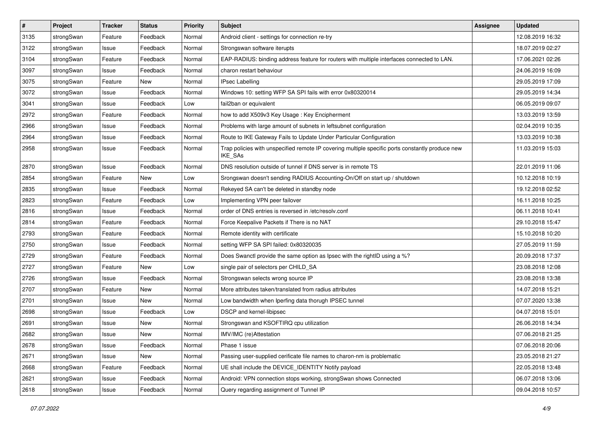| $\pmb{\#}$ | Project    | <b>Tracker</b> | <b>Status</b> | <b>Priority</b> | <b>Subject</b>                                                                                              | <b>Assignee</b> | <b>Updated</b>   |
|------------|------------|----------------|---------------|-----------------|-------------------------------------------------------------------------------------------------------------|-----------------|------------------|
| 3135       | strongSwan | Feature        | Feedback      | Normal          | Android client - settings for connection re-try                                                             |                 | 12.08.2019 16:32 |
| 3122       | strongSwan | Issue          | Feedback      | Normal          | Strongswan software iterupts                                                                                |                 | 18.07.2019 02:27 |
| 3104       | strongSwan | Feature        | Feedback      | Normal          | EAP-RADIUS: binding address feature for routers with multiple interfaces connected to LAN.                  |                 | 17.06.2021 02:26 |
| 3097       | strongSwan | Issue          | Feedback      | Normal          | charon restart behaviour                                                                                    |                 | 24.06.2019 16:09 |
| 3075       | strongSwan | Feature        | New           | Normal          | <b>IPsec Labelling</b>                                                                                      |                 | 29.05.2019 17:09 |
| 3072       | strongSwan | Issue          | Feedback      | Normal          | Windows 10: setting WFP SA SPI fails with error 0x80320014                                                  |                 | 29.05.2019 14:34 |
| 3041       | strongSwan | Issue          | Feedback      | Low             | fail2ban or equivalent                                                                                      |                 | 06.05.2019 09:07 |
| 2972       | strongSwan | Feature        | Feedback      | Normal          | how to add X509v3 Key Usage: Key Encipherment                                                               |                 | 13.03.2019 13:59 |
| 2966       | strongSwan | Issue          | Feedback      | Normal          | Problems with large amount of subnets in leftsubnet configuration                                           |                 | 02.04.2019 10:35 |
| 2964       | strongSwan | Issue          | Feedback      | Normal          | Route to IKE Gateway Fails to Update Under Particular Configuration                                         |                 | 13.03.2019 10:38 |
| 2958       | strongSwan | Issue          | Feedback      | Normal          | Trap policies with unspecified remote IP covering multiple specific ports constantly produce new<br>IKE_SAs |                 | 11.03.2019 15:03 |
| 2870       | strongSwan | Issue          | Feedback      | Normal          | DNS resolution outside of tunnel if DNS server is in remote TS                                              |                 | 22.01.2019 11:06 |
| 2854       | strongSwan | Feature        | <b>New</b>    | Low             | Srongswan doesn't sending RADIUS Accounting-On/Off on start up / shutdown                                   |                 | 10.12.2018 10:19 |
| 2835       | strongSwan | Issue          | Feedback      | Normal          | Rekeyed SA can't be deleted in standby node                                                                 |                 | 19.12.2018 02:52 |
| 2823       | strongSwan | Feature        | Feedback      | Low             | Implementing VPN peer failover                                                                              |                 | 16.11.2018 10:25 |
| 2816       | strongSwan | Issue          | Feedback      | Normal          | order of DNS entries is reversed in /etc/resolv.conf                                                        |                 | 06.11.2018 10:41 |
| 2814       | strongSwan | Feature        | Feedback      | Normal          | Force Keepalive Packets if There is no NAT                                                                  |                 | 29.10.2018 15:47 |
| 2793       | strongSwan | Feature        | Feedback      | Normal          | Remote identity with certificate                                                                            |                 | 15.10.2018 10:20 |
| 2750       | strongSwan | Issue          | Feedback      | Normal          | setting WFP SA SPI failed: 0x80320035                                                                       |                 | 27.05.2019 11:59 |
| 2729       | strongSwan | Feature        | Feedback      | Normal          | Does Swanctl provide the same option as Ipsec with the rightID using a %?                                   |                 | 20.09.2018 17:37 |
| 2727       | strongSwan | Feature        | New           | Low             | single pair of selectors per CHILD_SA                                                                       |                 | 23.08.2018 12:08 |
| 2726       | strongSwan | Issue          | Feedback      | Normal          | Strongswan selects wrong source IP                                                                          |                 | 23.08.2018 13:38 |
| 2707       | strongSwan | Feature        | New           | Normal          | More attributes taken/translated from radius attributes                                                     |                 | 14.07.2018 15:21 |
| 2701       | strongSwan | Issue          | New           | Normal          | Low bandwidth when Iperfing data thorugh IPSEC tunnel                                                       |                 | 07.07.2020 13:38 |
| 2698       | strongSwan | Issue          | Feedback      | Low             | DSCP and kernel-libipsec                                                                                    |                 | 04.07.2018 15:01 |
| 2691       | strongSwan | Issue          | <b>New</b>    | Normal          | Strongswan and KSOFTIRQ cpu utilization                                                                     |                 | 26.06.2018 14:34 |
| 2682       | strongSwan | Issue          | New           | Normal          | IMV/IMC (re)Attestation                                                                                     |                 | 07.06.2018 21:25 |
| 2678       | strongSwan | Issue          | Feedback      | Normal          | Phase 1 issue                                                                                               |                 | 07.06.2018 20:06 |
| 2671       | strongSwan | Issue          | New           | Normal          | Passing user-supplied cerificate file names to charon-nm is problematic                                     |                 | 23.05.2018 21:27 |
| 2668       | strongSwan | Feature        | Feedback      | Normal          | UE shall include the DEVICE_IDENTITY Notify payload                                                         |                 | 22.05.2018 13:48 |
| 2621       | strongSwan | Issue          | Feedback      | Normal          | Android: VPN connection stops working, strongSwan shows Connected                                           |                 | 06.07.2018 13:06 |
| 2618       | strongSwan | Issue          | Feedback      | Normal          | Query regarding assignment of Tunnel IP                                                                     |                 | 09.04.2018 10:57 |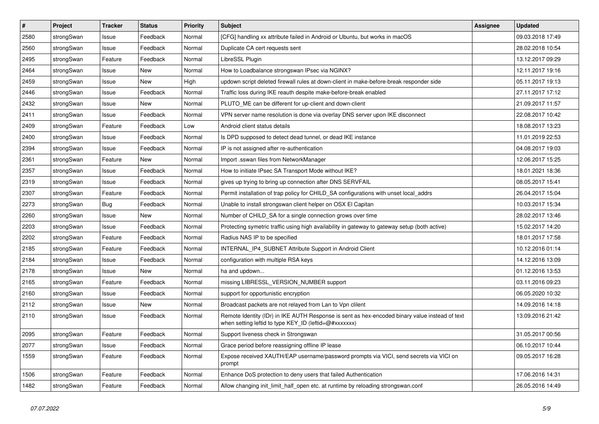| $\pmb{\#}$ | Project    | <b>Tracker</b> | <b>Status</b> | <b>Priority</b> | <b>Subject</b>                                                                                                                                          | <b>Assignee</b> | <b>Updated</b>   |
|------------|------------|----------------|---------------|-----------------|---------------------------------------------------------------------------------------------------------------------------------------------------------|-----------------|------------------|
| 2580       | strongSwan | Issue          | Feedback      | Normal          | [CFG] handling xx attribute failed in Android or Ubuntu, but works in macOS                                                                             |                 | 09.03.2018 17:49 |
| 2560       | strongSwan | Issue          | Feedback      | Normal          | Duplicate CA cert requests sent                                                                                                                         |                 | 28.02.2018 10:54 |
| 2495       | strongSwan | Feature        | Feedback      | Normal          | LibreSSL Plugin                                                                                                                                         |                 | 13.12.2017 09:29 |
| 2464       | strongSwan | Issue          | <b>New</b>    | Normal          | How to Loadbalance strongswan IPsec via NGINX?                                                                                                          |                 | 12.11.2017 19:16 |
| 2459       | strongSwan | Issue          | <b>New</b>    | High            | updown script deleted firewall rules at down-client in make-before-break responder side                                                                 |                 | 05.11.2017 19:13 |
| 2446       | strongSwan | Issue          | Feedback      | Normal          | Traffic loss during IKE reauth despite make-before-break enabled                                                                                        |                 | 27.11.2017 17:12 |
| 2432       | strongSwan | Issue          | New           | Normal          | PLUTO ME can be different for up-client and down-client                                                                                                 |                 | 21.09.2017 11:57 |
| 2411       | strongSwan | Issue          | Feedback      | Normal          | VPN server name resolution is done via overlay DNS server upon IKE disconnect                                                                           |                 | 22.08.2017 10:42 |
| 2409       | strongSwan | Feature        | Feedback      | Low             | Android client status details                                                                                                                           |                 | 18.08.2017 13:23 |
| 2400       | strongSwan | Issue          | Feedback      | Normal          | Is DPD supposed to detect dead tunnel, or dead IKE instance                                                                                             |                 | 11.01.2019 22:53 |
| 2394       | strongSwan | Issue          | Feedback      | Normal          | IP is not assigned after re-authentication                                                                                                              |                 | 04.08.2017 19:03 |
| 2361       | strongSwan | Feature        | New           | Normal          | Import .sswan files from NetworkManager                                                                                                                 |                 | 12.06.2017 15:25 |
| 2357       | strongSwan | Issue          | Feedback      | Normal          | How to initiate IPsec SA Transport Mode without IKE?                                                                                                    |                 | 18.01.2021 18:36 |
| 2319       | strongSwan | Issue          | Feedback      | Normal          | gives up trying to bring up connection after DNS SERVFAIL                                                                                               |                 | 08.05.2017 15:41 |
| 2307       | strongSwan | Feature        | Feedback      | Normal          | Permit installation of trap policy for CHILD_SA configurations with unset local_addrs                                                                   |                 | 26.04.2017 15:04 |
| 2273       | strongSwan | Bug            | Feedback      | Normal          | Unable to install strongswan client helper on OSX El Capitan                                                                                            |                 | 10.03.2017 15:34 |
| 2260       | strongSwan | Issue          | New           | Normal          | Number of CHILD_SA for a single connection grows over time                                                                                              |                 | 28.02.2017 13:46 |
| 2203       | strongSwan | Issue          | Feedback      | Normal          | Protecting symetric traffic using high availability in gateway to gateway setup (both active)                                                           |                 | 15.02.2017 14:20 |
| 2202       | strongSwan | Feature        | Feedback      | Normal          | Radius NAS IP to be specified                                                                                                                           |                 | 18.01.2017 17:58 |
| 2185       | strongSwan | Feature        | Feedback      | Normal          | INTERNAL IP4 SUBNET Attribute Support in Android Client                                                                                                 |                 | 10.12.2016 01:14 |
| 2184       | strongSwan | Issue          | Feedback      | Normal          | configuration with multiple RSA keys                                                                                                                    |                 | 14.12.2016 13:09 |
| 2178       | strongSwan | Issue          | New           | Normal          | ha and updown                                                                                                                                           |                 | 01.12.2016 13:53 |
| 2165       | strongSwan | Feature        | Feedback      | Normal          | missing LIBRESSL_VERSION_NUMBER support                                                                                                                 |                 | 03.11.2016 09:23 |
| 2160       | strongSwan | Issue          | Feedback      | Normal          | support for opportunistic encryption                                                                                                                    |                 | 06.05.2020 10:32 |
| 2112       | strongSwan | Issue          | New           | Normal          | Broadcast packets are not relayed from Lan to Vpn clilent                                                                                               |                 | 14.09.2016 14:18 |
| 2110       | strongSwan | Issue          | Feedback      | Normal          | Remote Identity (IDr) in IKE AUTH Response is sent as hex-encoded binary value instead of text<br>when setting leftid to type KEY_ID (leftid=@#xxxxxxx) |                 | 13.09.2016 21:42 |
| 2095       | strongSwan | Feature        | Feedback      | Normal          | Support liveness check in Strongswan                                                                                                                    |                 | 31.05.2017 00:56 |
| 2077       | strongSwan | Issue          | Feedback      | Normal          | Grace period before reassigning offline IP lease                                                                                                        |                 | 06.10.2017 10:44 |
| 1559       | strongSwan | Feature        | Feedback      | Normal          | Expose received XAUTH/EAP username/password prompts via VICI, send secrets via VICI on<br>prompt                                                        |                 | 09.05.2017 16:28 |
| 1506       | strongSwan | Feature        | Feedback      | Normal          | Enhance DoS protection to deny users that failed Authentication                                                                                         |                 | 17.06.2016 14:31 |
| 1482       | strongSwan | Feature        | Feedback      | Normal          | Allow changing init_limit_half_open etc. at runtime by reloading strongswan.conf                                                                        |                 | 26.05.2016 14:49 |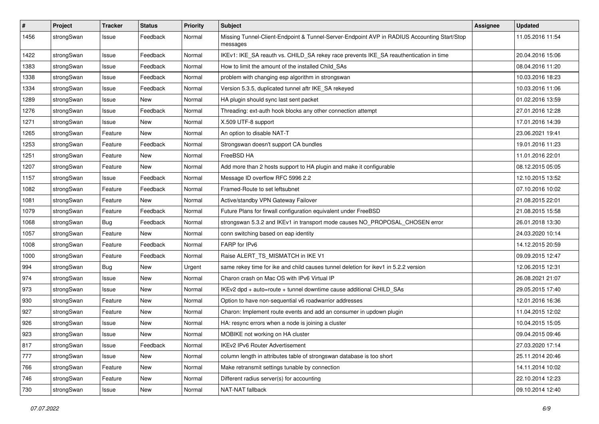| #    | Project    | <b>Tracker</b> | <b>Status</b> | <b>Priority</b> | <b>Subject</b>                                                                                          | <b>Assignee</b> | <b>Updated</b>   |
|------|------------|----------------|---------------|-----------------|---------------------------------------------------------------------------------------------------------|-----------------|------------------|
| 1456 | strongSwan | Issue          | Feedback      | Normal          | Missing Tunnel-Client-Endpoint & Tunnel-Server-Endpoint AVP in RADIUS Accounting Start/Stop<br>messages |                 | 11.05.2016 11:54 |
| 1422 | strongSwan | Issue          | Feedback      | Normal          | IKEv1: IKE_SA reauth vs. CHILD_SA rekey race prevents IKE_SA reauthentication in time                   |                 | 20.04.2016 15:06 |
| 1383 | strongSwan | Issue          | Feedback      | Normal          | How to limit the amount of the installed Child SAs                                                      |                 | 08.04.2016 11:20 |
| 1338 | strongSwan | Issue          | Feedback      | Normal          | problem with changing esp algorithm in strongswan                                                       |                 | 10.03.2016 18:23 |
| 1334 | strongSwan | Issue          | Feedback      | Normal          | Version 5.3.5, duplicated tunnel aftr IKE_SA rekeyed                                                    |                 | 10.03.2016 11:06 |
| 1289 | strongSwan | Issue          | <b>New</b>    | Normal          | HA plugin should sync last sent packet                                                                  |                 | 01.02.2016 13:59 |
| 1276 | strongSwan | Issue          | Feedback      | Normal          | Threading: ext-auth hook blocks any other connection attempt                                            |                 | 27.01.2016 12:28 |
| 1271 | strongSwan | Issue          | <b>New</b>    | Normal          | X.509 UTF-8 support                                                                                     |                 | 17.01.2016 14:39 |
| 1265 | strongSwan | Feature        | New           | Normal          | An option to disable NAT-T                                                                              |                 | 23.06.2021 19:41 |
| 1253 | strongSwan | Feature        | Feedback      | Normal          | Strongswan doesn't support CA bundles                                                                   |                 | 19.01.2016 11:23 |
| 1251 | strongSwan | Feature        | New           | Normal          | FreeBSD HA                                                                                              |                 | 11.01.2016 22:01 |
| 1207 | strongSwan | Feature        | New           | Normal          | Add more than 2 hosts support to HA plugin and make it configurable                                     |                 | 08.12.2015 05:05 |
| 1157 | strongSwan | Issue          | Feedback      | Normal          | Message ID overflow RFC 5996 2.2                                                                        |                 | 12.10.2015 13:52 |
| 1082 | strongSwan | Feature        | Feedback      | Normal          | Framed-Route to set leftsubnet                                                                          |                 | 07.10.2016 10:02 |
| 1081 | strongSwan | Feature        | New           | Normal          | Active/standby VPN Gateway Failover                                                                     |                 | 21.08.2015 22:01 |
| 1079 | strongSwan | Feature        | Feedback      | Normal          | Future Plans for firwall configuration equivalent under FreeBSD                                         |                 | 21.08.2015 15:58 |
| 1068 | strongSwan | <b>Bug</b>     | Feedback      | Normal          | strongswan 5.3.2 and IKEv1 in transport mode causes NO_PROPOSAL_CHOSEN error                            |                 | 26.01.2018 13:30 |
| 1057 | strongSwan | Feature        | New           | Normal          | conn switching based on eap identity                                                                    |                 | 24.03.2020 10:14 |
| 1008 | strongSwan | Feature        | Feedback      | Normal          | FARP for IPv6                                                                                           |                 | 14.12.2015 20:59 |
| 1000 | strongSwan | Feature        | Feedback      | Normal          | Raise ALERT TS MISMATCH in IKE V1                                                                       |                 | 09.09.2015 12:47 |
| 994  | strongSwan | <b>Bug</b>     | New           | Urgent          | same rekey time for ike and child causes tunnel deletion for ikev1 in 5.2.2 version                     |                 | 12.06.2015 12:31 |
| 974  | strongSwan | Issue          | New           | Normal          | Charon crash on Mac OS with IPv6 Virtual IP                                                             |                 | 26.08.2021 21:07 |
| 973  | strongSwan | Issue          | New           | Normal          | IKEv2 dpd + auto=route + tunnel downtime cause additional CHILD_SAs                                     |                 | 29.05.2015 17:40 |
| 930  | strongSwan | Feature        | <b>New</b>    | Normal          | Option to have non-sequential v6 roadwarrior addresses                                                  |                 | 12.01.2016 16:36 |
| 927  | strongSwan | Feature        | New           | Normal          | Charon: Implement route events and add an consumer in updown plugin                                     |                 | 11.04.2015 12:02 |
| 926  | strongSwan | Issue          | New           | Normal          | HA: resync errors when a node is joining a cluster                                                      |                 | 10.04.2015 15:05 |
| 923  | strongSwan | Issue          | New           | Normal          | MOBIKE not working on HA cluster                                                                        |                 | 09.04.2015 09:46 |
| 817  | strongSwan | Issue          | Feedback      | Normal          | IKEv2 IPv6 Router Advertisement                                                                         |                 | 27.03.2020 17:14 |
| 777  | strongSwan | Issue          | New           | Normal          | column length in attributes table of strongswan database is too short                                   |                 | 25.11.2014 20:46 |
| 766  | strongSwan | Feature        | New           | Normal          | Make retransmit settings tunable by connection                                                          |                 | 14.11.2014 10:02 |
| 746  | strongSwan | Feature        | New           | Normal          | Different radius server(s) for accounting                                                               |                 | 22.10.2014 12:23 |
| 730  | strongSwan | Issue          | New           | Normal          | NAT-NAT fallback                                                                                        |                 | 09.10.2014 12:40 |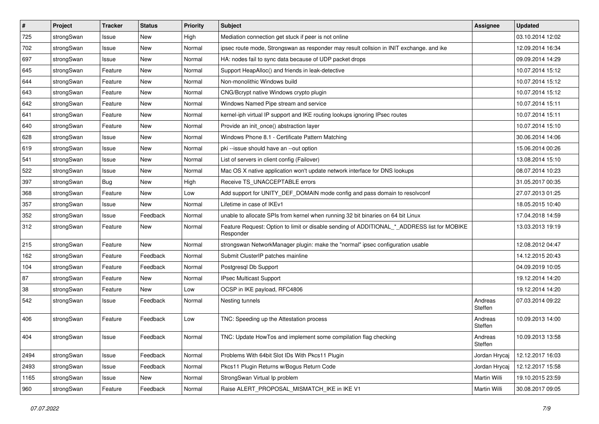| $\vert$ # | Project    | <b>Tracker</b> | <b>Status</b> | <b>Priority</b> | Subject                                                                                                  | <b>Assignee</b>    | <b>Updated</b>   |
|-----------|------------|----------------|---------------|-----------------|----------------------------------------------------------------------------------------------------------|--------------------|------------------|
| 725       | strongSwan | Issue          | New           | High            | Mediation connection get stuck if peer is not online                                                     |                    | 03.10.2014 12:02 |
| 702       | strongSwan | Issue          | <b>New</b>    | Normal          | ipsec route mode, Strongswan as responder may result collsion in INIT exchange. and ike                  |                    | 12.09.2014 16:34 |
| 697       | strongSwan | Issue          | New           | Normal          | HA: nodes fail to sync data because of UDP packet drops                                                  |                    | 09.09.2014 14:29 |
| 645       | strongSwan | Feature        | New           | Normal          | Support HeapAlloc() and friends in leak-detective                                                        |                    | 10.07.2014 15:12 |
| 644       | strongSwan | Feature        | <b>New</b>    | Normal          | Non-monolithic Windows build                                                                             |                    | 10.07.2014 15:12 |
| 643       | strongSwan | Feature        | <b>New</b>    | Normal          | CNG/Bcrypt native Windows crypto plugin                                                                  |                    | 10.07.2014 15:12 |
| 642       | strongSwan | Feature        | New           | Normal          | Windows Named Pipe stream and service                                                                    |                    | 10.07.2014 15:11 |
| 641       | strongSwan | Feature        | <b>New</b>    | Normal          | kernel-iph virtual IP support and IKE routing lookups ignoring IPsec routes                              |                    | 10.07.2014 15:11 |
| 640       | strongSwan | Feature        | New           | Normal          | Provide an init_once() abstraction layer                                                                 |                    | 10.07.2014 15:10 |
| 628       | strongSwan | Issue          | New           | Normal          | Windows Phone 8.1 - Certificate Pattern Matching                                                         |                    | 30.06.2014 14:06 |
| 619       | strongSwan | Issue          | New           | Normal          | pki --issue should have an --out option                                                                  |                    | 15.06.2014 00:26 |
| 541       | strongSwan | Issue          | <b>New</b>    | Normal          | List of servers in client config (Failover)                                                              |                    | 13.08.2014 15:10 |
| 522       | strongSwan | Issue          | <b>New</b>    | Normal          | Mac OS X native application won't update network interface for DNS lookups                               |                    | 08.07.2014 10:23 |
| 397       | strongSwan | <b>Bug</b>     | New           | High            | Receive TS UNACCEPTABLE errors                                                                           |                    | 31.05.2017 00:35 |
| 368       | strongSwan | Feature        | <b>New</b>    | Low             | Add support for UNITY_DEF_DOMAIN mode config and pass domain to resolvconf                               |                    | 27.07.2013 01:25 |
| 357       | strongSwan | Issue          | New           | Normal          | Lifetime in case of IKEv1                                                                                |                    | 18.05.2015 10:40 |
| 352       | strongSwan | Issue          | Feedback      | Normal          | unable to allocate SPIs from kernel when running 32 bit binaries on 64 bit Linux                         |                    | 17.04.2018 14:59 |
| 312       | strongSwan | Feature        | <b>New</b>    | Normal          | Feature Request: Option to limit or disable sending of ADDITIONAL_*_ADDRESS list for MOBIKE<br>Responder |                    | 13.03.2013 19:19 |
| 215       | strongSwan | Feature        | <b>New</b>    | Normal          | strongswan NetworkManager plugin: make the "normal" ipsec configuration usable                           |                    | 12.08.2012 04:47 |
| 162       | strongSwan | Feature        | Feedback      | Normal          | Submit ClusterIP patches mainline                                                                        |                    | 14.12.2015 20:43 |
| 104       | strongSwan | Feature        | Feedback      | Normal          | Postgresql Db Support                                                                                    |                    | 04.09.2019 10:05 |
| 87        | strongSwan | Feature        | New           | Normal          | IPsec Multicast Support                                                                                  |                    | 19.12.2014 14:20 |
| 38        | strongSwan | Feature        | New           | Low             | OCSP in IKE payload, RFC4806                                                                             |                    | 19.12.2014 14:20 |
| 542       | strongSwan | Issue          | Feedback      | Normal          | Nesting tunnels                                                                                          | Andreas<br>Steffen | 07.03.2014 09:22 |
| 406       | strongSwan | Feature        | Feedback      | Low             | TNC: Speeding up the Attestation process                                                                 | Andreas<br>Steffen | 10.09.2013 14:00 |
| 404       | strongSwan | Issue          | Feedback      | Normal          | TNC: Update HowTos and implement some compilation flag checking                                          | Andreas<br>Steffen | 10.09.2013 13:58 |
| 2494      | strongSwan | Issue          | Feedback      | Normal          | Problems With 64bit Slot IDs With Pkcs11 Plugin                                                          | Jordan Hrycaj      | 12.12.2017 16:03 |
| 2493      | strongSwan | Issue          | Feedback      | Normal          | Pkcs11 Plugin Returns w/Bogus Return Code                                                                | Jordan Hrycaj      | 12.12.2017 15:58 |
| 1165      | strongSwan | Issue          | New           | Normal          | StrongSwan Virtual Ip problem                                                                            | Martin Willi       | 19.10.2015 23:59 |
| 960       | strongSwan | Feature        | Feedback      | Normal          | Raise ALERT_PROPOSAL_MISMATCH_IKE in IKE V1                                                              | Martin Willi       | 30.08.2017 09:05 |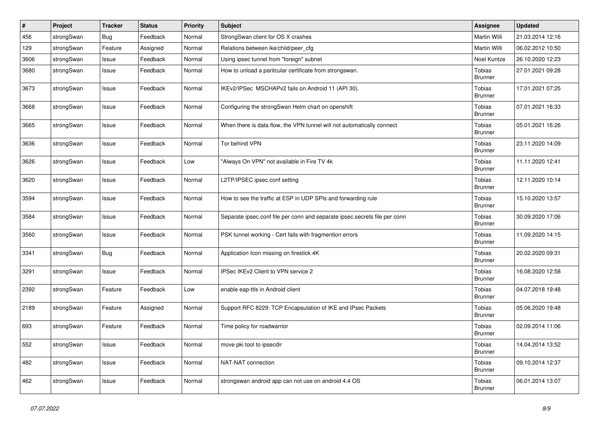| $\#$ | Project    | Tracker    | <b>Status</b> | <b>Priority</b> | Subject                                                                    | <b>Assignee</b>          | <b>Updated</b>   |
|------|------------|------------|---------------|-----------------|----------------------------------------------------------------------------|--------------------------|------------------|
| 456  | strongSwan | <b>Bug</b> | Feedback      | Normal          | StrongSwan client for OS X crashes                                         | Martin Willi             | 21.03.2014 12:16 |
| 129  | strongSwan | Feature    | Assigned      | Normal          | Relations between ike/child/peer_cfg                                       | Martin Willi             | 06.02.2012 10:50 |
| 3606 | strongSwan | Issue      | Feedback      | Normal          | Using ipsec tunnel from "foreign" subnet                                   | Noel Kuntze              | 26.10.2020 12:23 |
| 3680 | strongSwan | Issue      | Feedback      | Normal          | How to unload a paritcular certificate from strongswan.                    | Tobias<br><b>Brunner</b> | 27.01.2021 09:28 |
| 3673 | strongSwan | Issue      | Feedback      | Normal          | IKEv2/IPSec MSCHAPv2 fails on Android 11 (API 30).                         | Tobias<br><b>Brunner</b> | 17.01.2021 07:25 |
| 3668 | strongSwan | Issue      | Feedback      | Normal          | Configuring the strongSwan Helm chart on openshift                         | Tobias<br><b>Brunner</b> | 07.01.2021 16:33 |
| 3665 | strongSwan | Issue      | Feedback      | Normal          | When there is data flow, the VPN tunnel will not automatically connect     | Tobias<br><b>Brunner</b> | 05.01.2021 16:26 |
| 3636 | strongSwan | Issue      | Feedback      | Normal          | Tor behind VPN                                                             | Tobias<br><b>Brunner</b> | 23.11.2020 14:09 |
| 3626 | strongSwan | Issue      | Feedback      | Low             | "Always On VPN" not available in Fire TV 4k                                | Tobias<br><b>Brunner</b> | 11.11.2020 12:41 |
| 3620 | strongSwan | Issue      | Feedback      | Normal          | L2TP/IPSEC ipsec.conf setting                                              | Tobias<br><b>Brunner</b> | 12.11.2020 10:14 |
| 3594 | strongSwan | Issue      | Feedback      | Normal          | How to see the traffic at ESP in UDP SPIs and forwarding rule              | Tobias<br>Brunner        | 15.10.2020 13:57 |
| 3584 | strongSwan | Issue      | Feedback      | Normal          | Separate ipsec.conf file per conn and separate ipsec.secrets file per conn | Tobias<br><b>Brunner</b> | 30.09.2020 17:06 |
| 3560 | strongSwan | Issue      | Feedback      | Normal          | PSK tunnel working - Cert fails with fragmention errors                    | Tobias<br><b>Brunner</b> | 11.09.2020 14:15 |
| 3341 | strongSwan | Bug        | Feedback      | Normal          | Application Icon missing on firestick 4K                                   | Tobias<br><b>Brunner</b> | 20.02.2020 09:31 |
| 3291 | strongSwan | Issue      | Feedback      | Normal          | IPSec IKEv2 Client to VPN service 2                                        | Tobias<br><b>Brunner</b> | 16.08.2020 12:58 |
| 2392 | strongSwan | Feature    | Feedback      | Low             | enable eap-ttls in Android client                                          | Tobias<br><b>Brunner</b> | 04.07.2018 19:48 |
| 2189 | strongSwan | Feature    | Assigned      | Normal          | Support RFC 8229: TCP Encapsulation of IKE and IPsec Packets               | Tobias<br><b>Brunner</b> | 05.06.2020 19:48 |
| 693  | strongSwan | Feature    | Feedback      | Normal          | Time policy for roadwarrior                                                | Tobias<br><b>Brunner</b> | 02.09.2014 11:06 |
| 552  | strongSwan | Issue      | Feedback      | Normal          | move pki tool to ipsecdir                                                  | Tobias<br><b>Brunner</b> | 14.04.2014 13:52 |
| 482  | strongSwan | Issue      | Feedback      | Normal          | NAT-NAT connection                                                         | Tobias<br><b>Brunner</b> | 09.10.2014 12:37 |
| 462  | strongSwan | Issue      | Feedback      | Normal          | strongswan android app can not use on android 4.4 OS                       | Tobias<br><b>Brunner</b> | 06.01.2014 13:07 |